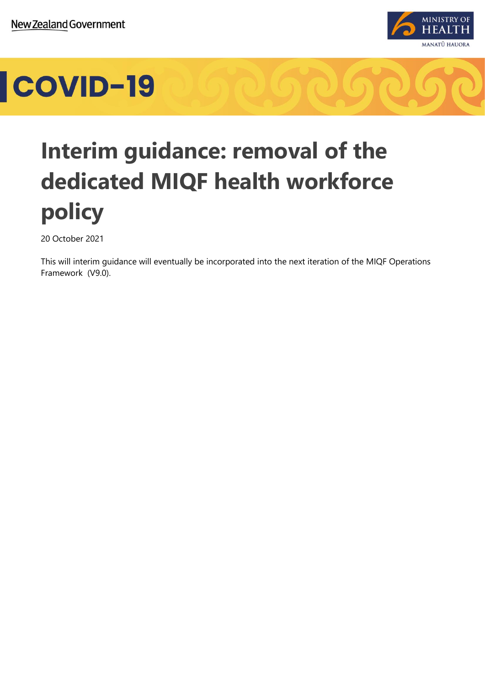

### COVID-19

### **Interim guidance: removal of the dedicated MIQF health workforce policy**

20 October 2021

This will interim guidance will eventually be incorporated into the next iteration of the MIQF Operations Framework (V9.0).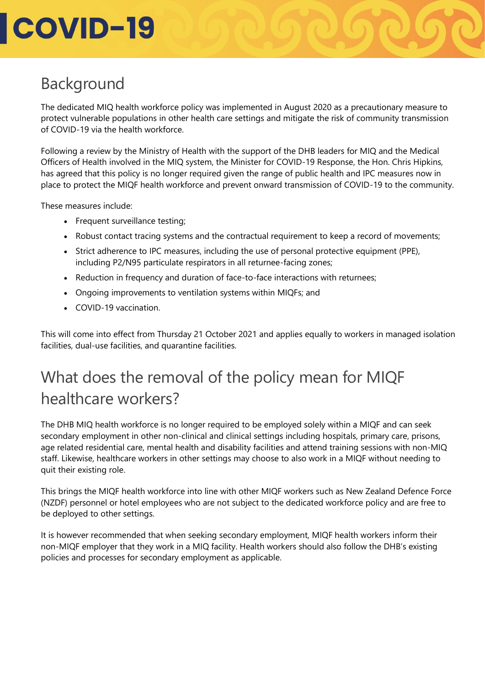## **COVID-19**

#### Background

The dedicated MIQ health workforce policy was implemented in August 2020 as a precautionary measure to protect vulnerable populations in other health care settings and mitigate the risk of community transmission of COVID-19 via the health workforce.

Following a review by the Ministry of Health with the support of the DHB leaders for MIQ and the Medical Officers of Health involved in the MIQ system, the Minister for COVID-19 Response, the Hon. Chris Hipkins, has agreed that this policy is no longer required given the range of public health and IPC measures now in place to protect the MIQF health workforce and prevent onward transmission of COVID-19 to the community.

These measures include:

- Frequent surveillance testing;
- Robust contact tracing systems and the contractual requirement to keep a record of movements;
- Strict adherence to IPC measures, including the use of personal protective equipment (PPE), including P2/N95 particulate respirators in all returnee-facing zones;
- Reduction in frequency and duration of face-to-face interactions with returnees;
- Ongoing improvements to ventilation systems within MIQFs; and
- COVID-19 vaccination.

This will come into effect from Thursday 21 October 2021 and applies equally to workers in managed isolation facilities, dual-use facilities, and quarantine facilities.

#### What does the removal of the policy mean for MIQF healthcare workers?

The DHB MIQ health workforce is no longer required to be employed solely within a MIQF and can seek secondary employment in other non-clinical and clinical settings including hospitals, primary care, prisons, age related residential care, mental health and disability facilities and attend training sessions with non-MIQ staff. Likewise, healthcare workers in other settings may choose to also work in a MIQF without needing to quit their existing role.

This brings the MIQF health workforce into line with other MIQF workers such as New Zealand Defence Force (NZDF) personnel or hotel employees who are not subject to the dedicated workforce policy and are free to be deployed to other settings.

It is however recommended that when seeking secondary employment, MIQF health workers inform their non-MIQF employer that they work in a MIQ facility. Health workers should also follow the DHB's existing policies and processes for secondary employment as applicable.